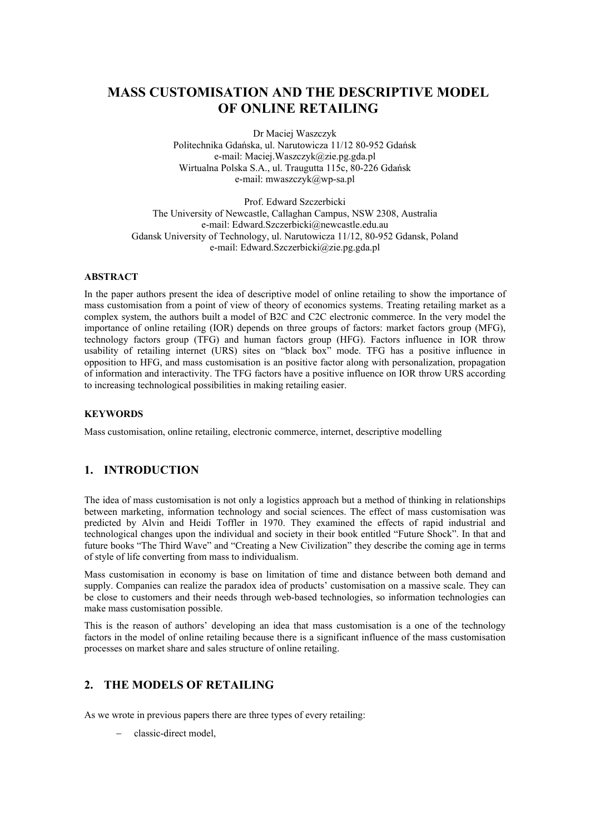# **MASS CUSTOMISATION AND THE DESCRIPTIVE MODEL OF ONLINE RETAILING**

Dr Maciej Waszczyk Politechnika Gdańska, ul. Narutowicza 11/12 80-952 Gdańsk e-mail: Maciej.Waszczyk@zie.pg.gda.pl Wirtualna Polska S.A., ul. Traugutta 115c, 80-226 Gdańsk e-mail: mwaszczyk@wp-sa.pl

Prof. Edward Szczerbicki The University of Newcastle, Callaghan Campus, NSW 2308, Australia e-mail: Edward.Szczerbicki@newcastle.edu.au Gdansk University of Technology, ul. Narutowicza 11/12, 80-952 Gdansk, Poland e-mail: Edward.Szczerbicki@zie.pg.gda.pl

### **ABSTRACT**

In the paper authors present the idea of descriptive model of online retailing to show the importance of mass customisation from a point of view of theory of economics systems. Treating retailing market as a complex system, the authors built a model of B2C and C2C electronic commerce. In the very model the importance of online retailing (IOR) depends on three groups of factors: market factors group (MFG), technology factors group (TFG) and human factors group (HFG). Factors influence in IOR throw usability of retailing internet (URS) sites on "black box" mode. TFG has a positive influence in opposition to HFG, and mass customisation is an positive factor along with personalization, propagation of information and interactivity. The TFG factors have a positive influence on IOR throw URS according to increasing technological possibilities in making retailing easier.

#### **KEYWORDS**

Mass customisation, online retailing, electronic commerce, internet, descriptive modelling

# **1. INTRODUCTION**

The idea of mass customisation is not only a logistics approach but a method of thinking in relationships between marketing, information technology and social sciences. The effect of mass customisation was predicted by Alvin and Heidi Toffler in 1970. They examined the effects of rapid industrial and technological changes upon the individual and society in their book entitled "Future Shock". In that and future books "The Third Wave" and "Creating a New Civilization" they describe the coming age in terms of style of life converting from mass to individualism.

Mass customisation in economy is base on limitation of time and distance between both demand and supply. Companies can realize the paradox idea of products' customisation on a massive scale. They can be close to customers and their needs through web-based technologies, so information technologies can make mass customisation possible.

This is the reason of authors' developing an idea that mass customisation is a one of the technology factors in the model of online retailing because there is a significant influence of the mass customisation processes on market share and sales structure of online retailing.

## **2. THE MODELS OF RETAILING**

As we wrote in previous papers there are three types of every retailing:

classic-direct model,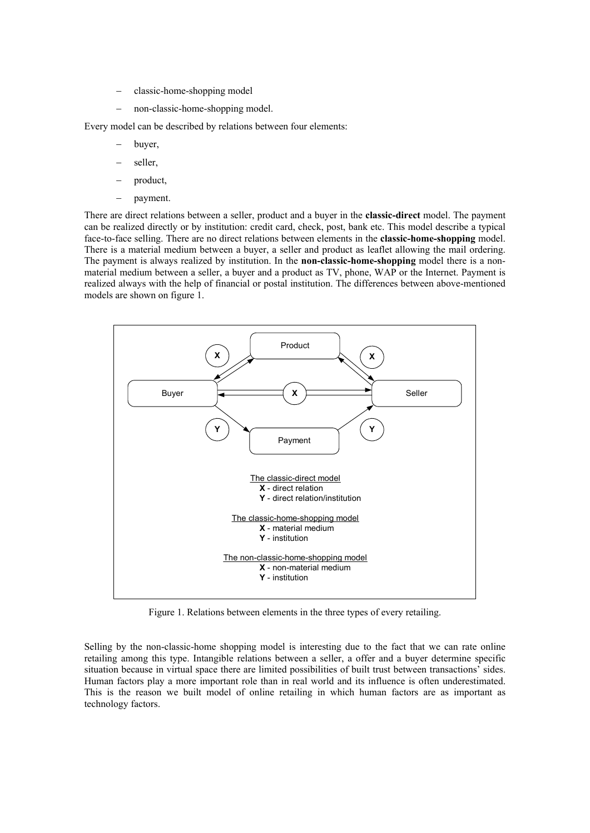- classic-home-shopping model
- non-classic-home-shopping model.

Every model can be described by relations between four elements:

- buyer,
- seller,
- product,
- payment.

There are direct relations between a seller, product and a buyer in the **classic-direct** model. The payment can be realized directly or by institution: credit card, check, post, bank etc. This model describe a typical face-to-face selling. There are no direct relations between elements in the **classic-home-shopping** model. There is a material medium between a buyer, a seller and product as leaflet allowing the mail ordering. The payment is always realized by institution. In the **non-classic-home-shopping** model there is a nonmaterial medium between a seller, a buyer and a product as TV, phone, WAP or the Internet. Payment is realized always with the help of financial or postal institution. The differences between above-mentioned models are shown on figure 1.



Figure 1. Relations between elements in the three types of every retailing.

Selling by the non-classic-home shopping model is interesting due to the fact that we can rate online retailing among this type. Intangible relations between a seller, a offer and a buyer determine specific situation because in virtual space there are limited possibilities of built trust between transactions' sides. Human factors play a more important role than in real world and its influence is often underestimated. This is the reason we built model of online retailing in which human factors are as important as technology factors.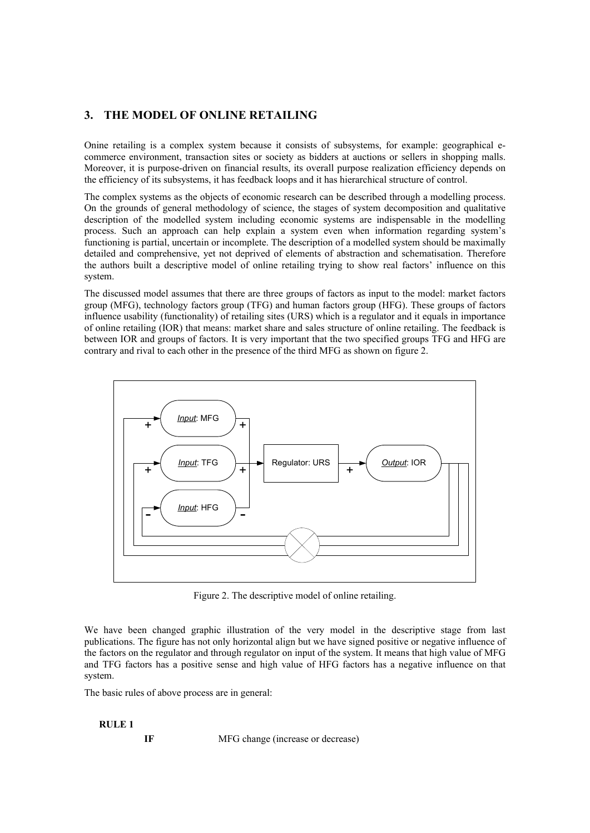# **3. THE MODEL OF ONLINE RETAILING**

Onine retailing is a complex system because it consists of subsystems, for example: geographical ecommerce environment, transaction sites or society as bidders at auctions or sellers in shopping malls. Moreover, it is purpose-driven on financial results, its overall purpose realization efficiency depends on the efficiency of its subsystems, it has feedback loops and it has hierarchical structure of control.

The complex systems as the objects of economic research can be described through a modelling process. On the grounds of general methodology of science, the stages of system decomposition and qualitative description of the modelled system including economic systems are indispensable in the modelling process. Such an approach can help explain a system even when information regarding system's functioning is partial, uncertain or incomplete. The description of a modelled system should be maximally detailed and comprehensive, yet not deprived of elements of abstraction and schematisation. Therefore the authors built a descriptive model of online retailing trying to show real factors' influence on this system.

The discussed model assumes that there are three groups of factors as input to the model: market factors group (MFG), technology factors group (TFG) and human factors group (HFG). These groups of factors influence usability (functionality) of retailing sites (URS) which is a regulator and it equals in importance of online retailing (IOR) that means: market share and sales structure of online retailing. The feedback is between IOR and groups of factors. It is very important that the two specified groups TFG and HFG are contrary and rival to each other in the presence of the third MFG as shown on figure 2.



Figure 2. The descriptive model of online retailing.

We have been changed graphic illustration of the very model in the descriptive stage from last publications. The figure has not only horizontal align but we have signed positive or negative influence of the factors on the regulator and through regulator on input of the system. It means that high value of MFG and TFG factors has a positive sense and high value of HFG factors has a negative influence on that system.

The basic rules of above process are in general:

### **RULE 1**

**IF** MFG change (increase or decrease)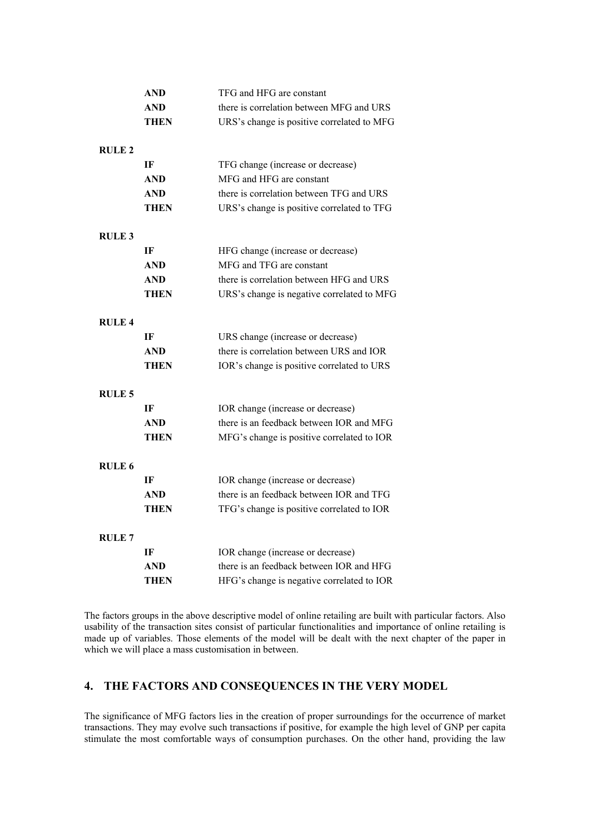|               | AND         | TFG and HFG are constant                   |
|---------------|-------------|--------------------------------------------|
|               | AND         | there is correlation between MFG and URS   |
|               | THEN        | URS's change is positive correlated to MFG |
| <b>RULE 2</b> |             |                                            |
|               | IF          | TFG change (increase or decrease)          |
|               | <b>AND</b>  | MFG and HFG are constant                   |
|               | <b>AND</b>  | there is correlation between TFG and URS   |
|               | THEN        | URS's change is positive correlated to TFG |
| <b>RULE 3</b> |             |                                            |
|               | IF          | HFG change (increase or decrease)          |
|               | <b>AND</b>  | MFG and TFG are constant                   |
|               | AND         | there is correlation between HFG and URS   |
|               | THEN        | URS's change is negative correlated to MFG |
| <b>RULE 4</b> |             |                                            |
|               | IF          | URS change (increase or decrease)          |
|               | <b>AND</b>  | there is correlation between URS and IOR   |
|               | THEN        | IOR's change is positive correlated to URS |
| <b>RULE 5</b> |             |                                            |
|               | IF          | IOR change (increase or decrease)          |
|               | <b>AND</b>  | there is an feedback between IOR and MFG   |
|               | <b>THEN</b> | MFG's change is positive correlated to IOR |
| <b>RULE 6</b> |             |                                            |
|               | IF          | IOR change (increase or decrease)          |
|               | AND         | there is an feedback between IOR and TFG   |
|               | THEN        | TFG's change is positive correlated to IOR |
| <b>RULE 7</b> |             |                                            |
|               | IF          | IOR change (increase or decrease)          |
|               | AND         | there is an feedback between IOR and HFG   |
|               | THEN        | HFG's change is negative correlated to IOR |

The factors groups in the above descriptive model of online retailing are built with particular factors. Also usability of the transaction sites consist of particular functionalities and importance of online retailing is made up of variables. Those elements of the model will be dealt with the next chapter of the paper in which we will place a mass customisation in between.

# **4. THE FACTORS AND CONSEQUENCES IN THE VERY MODEL**

The significance of MFG factors lies in the creation of proper surroundings for the occurrence of market transactions. They may evolve such transactions if positive, for example the high level of GNP per capita stimulate the most comfortable ways of consumption purchases. On the other hand, providing the law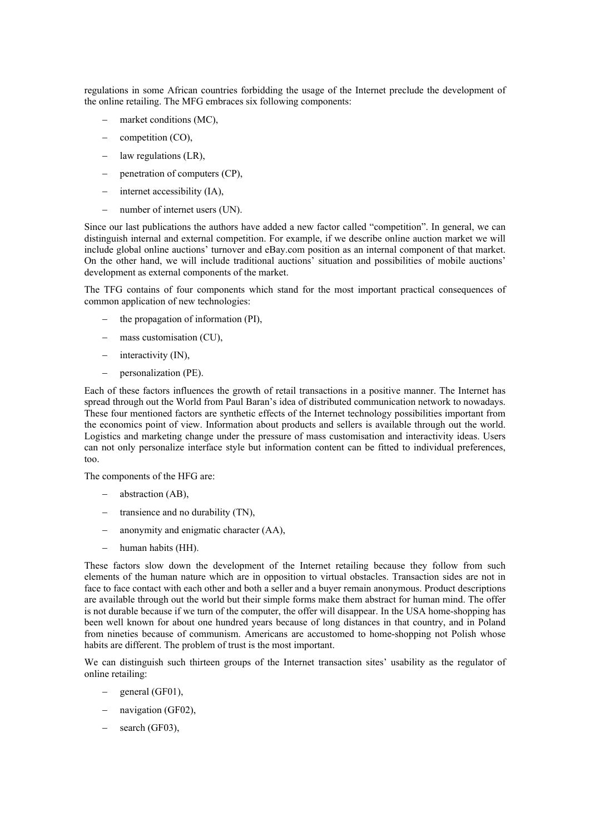regulations in some African countries forbidding the usage of the Internet preclude the development of the online retailing. The MFG embraces six following components:

- market conditions (MC),
- competition (CO),
- law regulations (LR),
- penetration of computers (CP),
- internet accessibility (IA),
- number of internet users (UN).

Since our last publications the authors have added a new factor called "competition". In general, we can distinguish internal and external competition. For example, if we describe online auction market we will include global online auctions' turnover and eBay.com position as an internal component of that market. On the other hand, we will include traditional auctions' situation and possibilities of mobile auctions' development as external components of the market.

The TFG contains of four components which stand for the most important practical consequences of common application of new technologies:

- the propagation of information (PI),
- mass customisation (CU),
- interactivity (IN),
- personalization (PE).

Each of these factors influences the growth of retail transactions in a positive manner. The Internet has spread through out the World from Paul Baran's idea of distributed communication network to nowadays. These four mentioned factors are synthetic effects of the Internet technology possibilities important from the economics point of view. Information about products and sellers is available through out the world. Logistics and marketing change under the pressure of mass customisation and interactivity ideas. Users can not only personalize interface style but information content can be fitted to individual preferences, too.

The components of the HFG are:

- abstraction (AB),
- transience and no durability (TN),
- anonymity and enigmatic character (AA),
- human habits (HH).

These factors slow down the development of the Internet retailing because they follow from such elements of the human nature which are in opposition to virtual obstacles. Transaction sides are not in face to face contact with each other and both a seller and a buyer remain anonymous. Product descriptions are available through out the world but their simple forms make them abstract for human mind. The offer is not durable because if we turn of the computer, the offer will disappear. In the USA home-shopping has been well known for about one hundred years because of long distances in that country, and in Poland from nineties because of communism. Americans are accustomed to home-shopping not Polish whose habits are different. The problem of trust is the most important.

We can distinguish such thirteen groups of the Internet transaction sites' usability as the regulator of online retailing:

- general (GF01),
- navigation (GF02),
- search (GF03),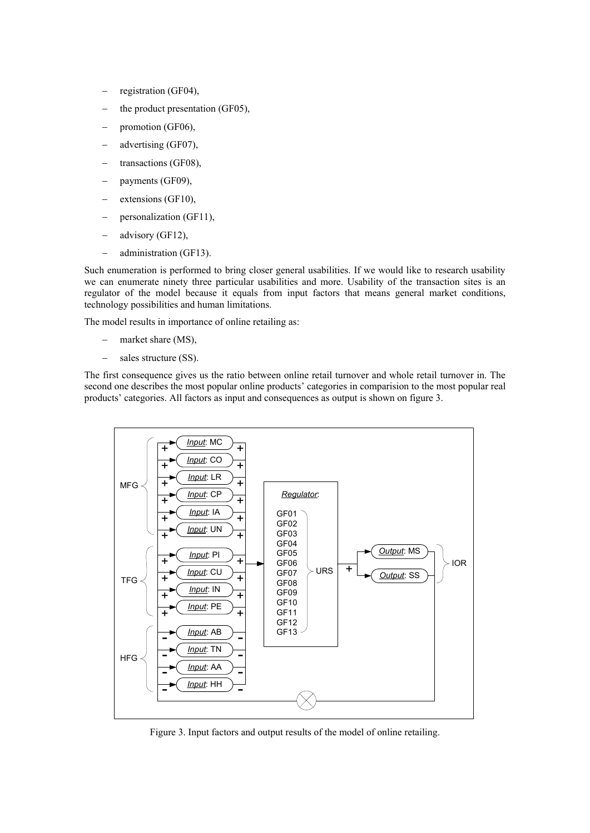- registration (GF04),
- the product presentation (GF05),
- promotion (GF06),
- advertising (GF07),
- transactions (GF08),
- payments (GF09),
- extensions (GF10),
- personalization (GF11),
- advisory (GF12),
- administration (GF13).

Such enumeration is performed to bring closer general usabilities. If we would like to research usability we can enumerate ninety three particular usabilities and more. Usability of the transaction sites is an regulator of the model because it equals from input factors that means general market conditions, technology possibilities and human limitations.

The model results in importance of online retailing as:

- market share (MS),
- sales structure (SS).

The first consequence gives us the ratio between online retail turnover and whole retail turnover in. The second one describes the most popular online products' categories in comparision to the most popular real products' categories. All factors as input and consequences as output is shown on figure 3.



Figure 3. Input factors and output results of the model of online retailing.